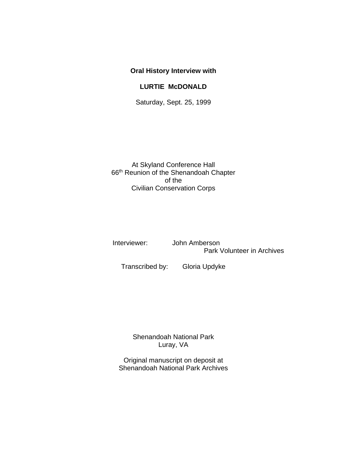## **Oral History Interview with**

## **LURTIE McDONALD**

Saturday, Sept. 25, 1999

At Skyland Conference Hall 66th Reunion of the Shenandoah Chapter of the Civilian Conservation Corps

 Interviewer: John Amberson Park Volunteer in Archives

Transcribed by: Gloria Updyke

Shenandoah National Park Luray, VA

Original manuscript on deposit at Shenandoah National Park Archives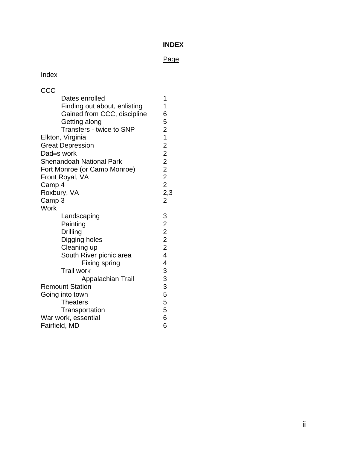## **INDEX**

## Page

# Index

| CCC                    |                                 |                           |
|------------------------|---------------------------------|---------------------------|
|                        | Dates enrolled                  | 1                         |
|                        | Finding out about, enlisting    | 1                         |
|                        | Gained from CCC, discipline     | $\overline{6}$            |
|                        | Getting along                   |                           |
|                        | Transfers - twice to SNP        |                           |
|                        | Elkton, Virginia                |                           |
|                        | <b>Great Depression</b>         |                           |
|                        | Dad=s work                      |                           |
|                        | <b>Shenandoah National Park</b> |                           |
|                        | Fort Monroe (or Camp Monroe)    |                           |
|                        | Front Royal, VA                 | 5 2 1 2 2 2 2 2 2 3 2 2 3 |
| Camp 4                 |                                 |                           |
| Roxbury, VA            |                                 |                           |
| Camp 3                 |                                 |                           |
| Work                   |                                 |                           |
|                        | Landscaping                     | 3222244333555             |
|                        | Painting                        |                           |
|                        | Drilling                        |                           |
|                        | Digging holes                   |                           |
|                        | Cleaning up                     |                           |
|                        | South River picnic area         |                           |
|                        | Fixing spring                   |                           |
|                        | <b>Trail work</b>               |                           |
|                        | Appalachian Trail               |                           |
| <b>Remount Station</b> |                                 |                           |
| Going into town        |                                 |                           |
|                        | <b>Theaters</b>                 |                           |
|                        | Transportation                  |                           |
| War work, essential    |                                 | 6                         |
| Fairfield, MD          |                                 | 6                         |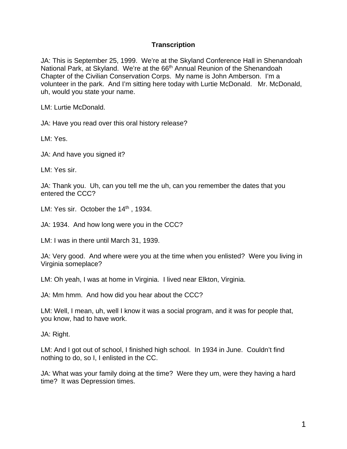## **Transcription**

JA: This is September 25, 1999. We're at the Skyland Conference Hall in Shenandoah National Park, at Skyland. We're at the 66<sup>th</sup> Annual Reunion of the Shenandoah Chapter of the Civilian Conservation Corps. My name is John Amberson. I'm a volunteer in the park. And I'm sitting here today with Lurtie McDonald. Mr. McDonald, uh, would you state your name.

LM: Lurtie McDonald.

JA: Have you read over this oral history release?

LM: Yes.

JA: And have you signed it?

LM: Yes sir.

JA: Thank you. Uh, can you tell me the uh, can you remember the dates that you entered the CCC?

LM: Yes sir. October the  $14<sup>th</sup>$ , 1934.

JA: 1934. And how long were you in the CCC?

LM: I was in there until March 31, 1939.

JA: Very good. And where were you at the time when you enlisted? Were you living in Virginia someplace?

LM: Oh yeah, I was at home in Virginia. I lived near Elkton, Virginia.

JA: Mm hmm. And how did you hear about the CCC?

LM: Well, I mean, uh, well I know it was a social program, and it was for people that, you know, had to have work.

JA: Right.

LM: And I got out of school, I finished high school. In 1934 in June. Couldn't find nothing to do, so I, I enlisted in the CC.

JA: What was your family doing at the time? Were they um, were they having a hard time? It was Depression times.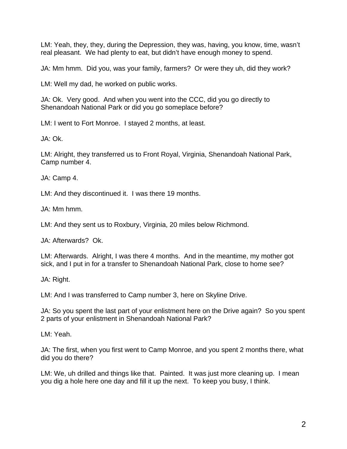LM: Yeah, they, they, during the Depression, they was, having, you know, time, wasn't real pleasant. We had plenty to eat, but didn't have enough money to spend.

JA: Mm hmm. Did you, was your family, farmers? Or were they uh, did they work?

LM: Well my dad, he worked on public works.

JA: Ok. Very good. And when you went into the CCC, did you go directly to Shenandoah National Park or did you go someplace before?

LM: I went to Fort Monroe. I stayed 2 months, at least.

JA: Ok.

LM: Alright, they transferred us to Front Royal, Virginia, Shenandoah National Park, Camp number 4.

JA: Camp 4.

LM: And they discontinued it. I was there 19 months.

JA: Mm hmm.

LM: And they sent us to Roxbury, Virginia, 20 miles below Richmond.

JA: Afterwards? Ok.

LM: Afterwards. Alright, I was there 4 months. And in the meantime, my mother got sick, and I put in for a transfer to Shenandoah National Park, close to home see?

JA: Right.

LM: And I was transferred to Camp number 3, here on Skyline Drive.

JA: So you spent the last part of your enlistment here on the Drive again? So you spent 2 parts of your enlistment in Shenandoah National Park?

LM: Yeah.

JA: The first, when you first went to Camp Monroe, and you spent 2 months there, what did you do there?

LM: We, uh drilled and things like that. Painted. It was just more cleaning up. I mean you dig a hole here one day and fill it up the next. To keep you busy, I think.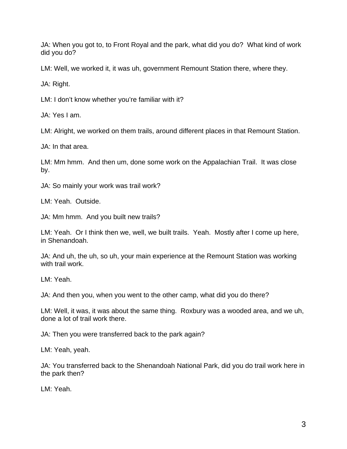JA: When you got to, to Front Royal and the park, what did you do? What kind of work did you do?

LM: Well, we worked it, it was uh, government Remount Station there, where they.

JA: Right.

LM: I don't know whether you're familiar with it?

JA: Yes I am.

LM: Alright, we worked on them trails, around different places in that Remount Station.

JA: In that area.

LM: Mm hmm. And then um, done some work on the Appalachian Trail. It was close by.

JA: So mainly your work was trail work?

LM: Yeah. Outside.

JA: Mm hmm. And you built new trails?

LM: Yeah. Or I think then we, well, we built trails. Yeah. Mostly after I come up here, in Shenandoah.

JA: And uh, the uh, so uh, your main experience at the Remount Station was working with trail work.

LM: Yeah.

JA: And then you, when you went to the other camp, what did you do there?

LM: Well, it was, it was about the same thing. Roxbury was a wooded area, and we uh, done a lot of trail work there.

JA: Then you were transferred back to the park again?

LM: Yeah, yeah.

JA: You transferred back to the Shenandoah National Park, did you do trail work here in the park then?

LM: Yeah.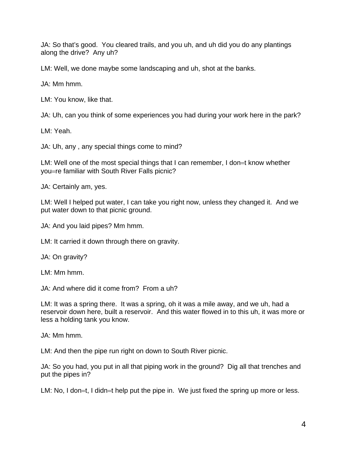JA: So that's good. You cleared trails, and you uh, and uh did you do any plantings along the drive? Any uh?

LM: Well, we done maybe some landscaping and uh, shot at the banks.

JA: Mm hmm.

LM: You know, like that.

JA: Uh, can you think of some experiences you had during your work here in the park?

LM: Yeah.

JA: Uh, any , any special things come to mind?

LM: Well one of the most special things that I can remember, I don=t know whether you=re familiar with South River Falls picnic?

JA: Certainly am, yes.

LM: Well I helped put water, I can take you right now, unless they changed it. And we put water down to that picnic ground.

JA: And you laid pipes? Mm hmm.

LM: It carried it down through there on gravity.

JA: On gravity?

LM: Mm hmm.

JA: And where did it come from? From a uh?

LM: It was a spring there. It was a spring, oh it was a mile away, and we uh, had a reservoir down here, built a reservoir. And this water flowed in to this uh, it was more or less a holding tank you know.

JA: Mm hmm.

LM: And then the pipe run right on down to South River picnic.

JA: So you had, you put in all that piping work in the ground? Dig all that trenches and put the pipes in?

LM: No, I don=t, I didn=t help put the pipe in. We just fixed the spring up more or less.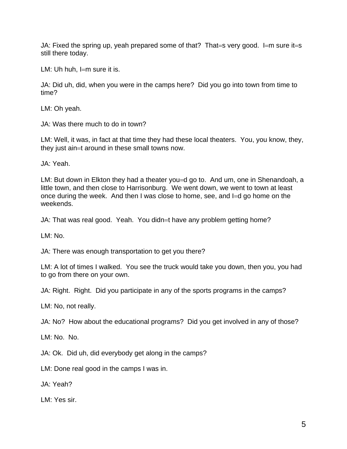JA: Fixed the spring up, yeah prepared some of that? That=s very good. I=m sure it=s still there today.

LM: Uh huh, I=m sure it is.

JA: Did uh, did, when you were in the camps here? Did you go into town from time to time?

LM: Oh yeah.

JA: Was there much to do in town?

LM: Well, it was, in fact at that time they had these local theaters. You, you know, they, they just ain=t around in these small towns now.

JA: Yeah.

LM: But down in Elkton they had a theater you=d go to. And um, one in Shenandoah, a little town, and then close to Harrisonburg. We went down, we went to town at least once during the week. And then I was close to home, see, and I=d go home on the weekends.

JA: That was real good. Yeah. You didn=t have any problem getting home?

LM: No.

JA: There was enough transportation to get you there?

LM: A lot of times I walked. You see the truck would take you down, then you, you had to go from there on your own.

JA: Right. Right. Did you participate in any of the sports programs in the camps?

LM: No, not really.

JA: No? How about the educational programs? Did you get involved in any of those?

LM: No. No.

JA: Ok. Did uh, did everybody get along in the camps?

LM: Done real good in the camps I was in.

JA: Yeah?

LM: Yes sir.